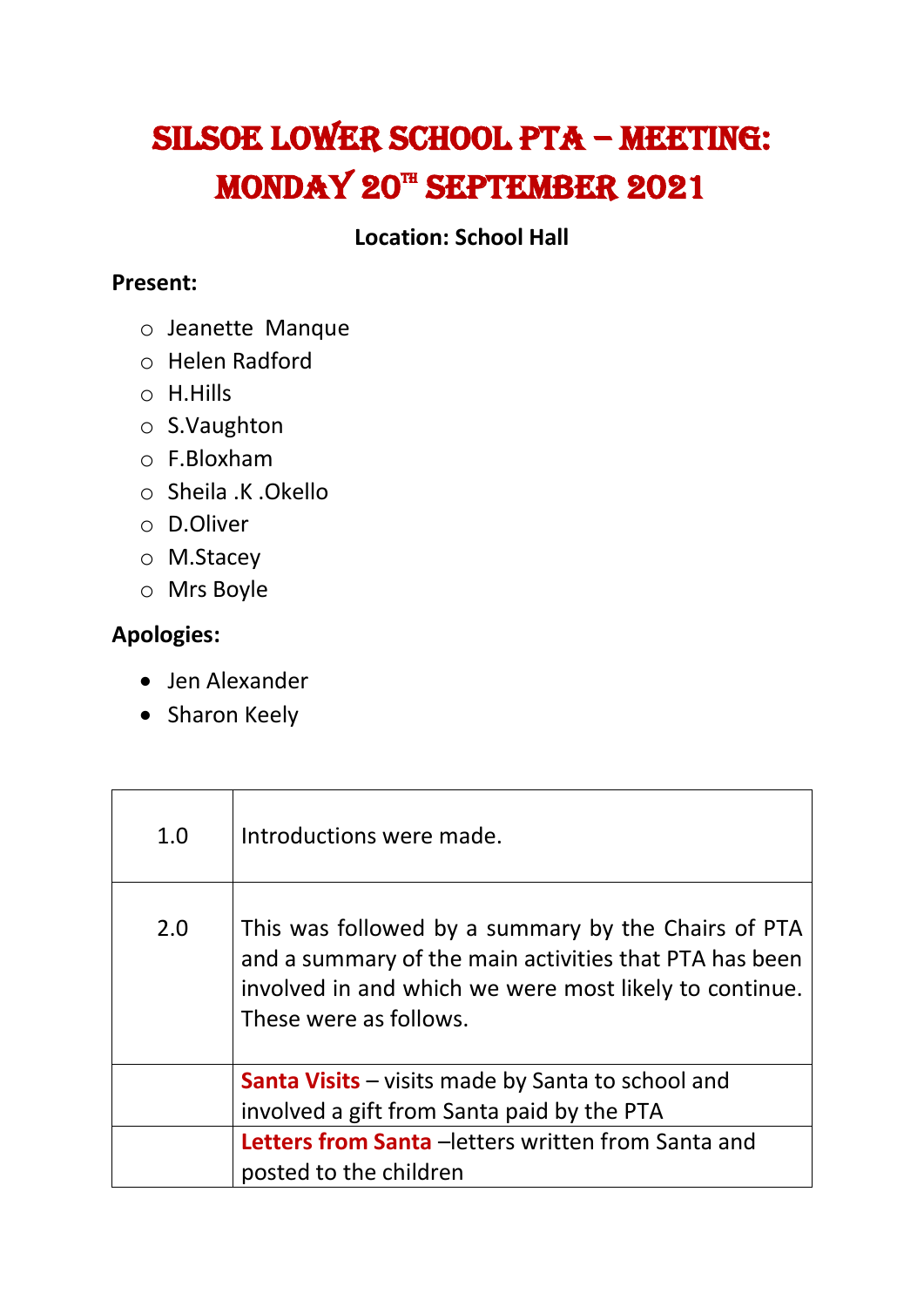## Silsoe Lower School PTA – Meeting: MONDAY 20<sup>th</sup> SEPTEMBER 2021

## **Location: School Hall**

## **Present:**

- o Jeanette Manque
- o Helen Radford
- o H.Hills
- o S.Vaughton
- o F.Bloxham
- o Sheila .K .Okello
- o D.Oliver
- o M.Stacey
- o Mrs Boyle

## **Apologies:**

- Jen Alexander
- Sharon Keely

| 1.0 | Introductions were made.                                                                                                                                                                          |
|-----|---------------------------------------------------------------------------------------------------------------------------------------------------------------------------------------------------|
| 2.0 | This was followed by a summary by the Chairs of PTA<br>and a summary of the main activities that PTA has been<br>involved in and which we were most likely to continue.<br>These were as follows. |
|     | <b>Santa Visits</b> - visits made by Santa to school and<br>involved a gift from Santa paid by the PTA                                                                                            |
|     | <b>Letters from Santa</b> - letters written from Santa and<br>posted to the children                                                                                                              |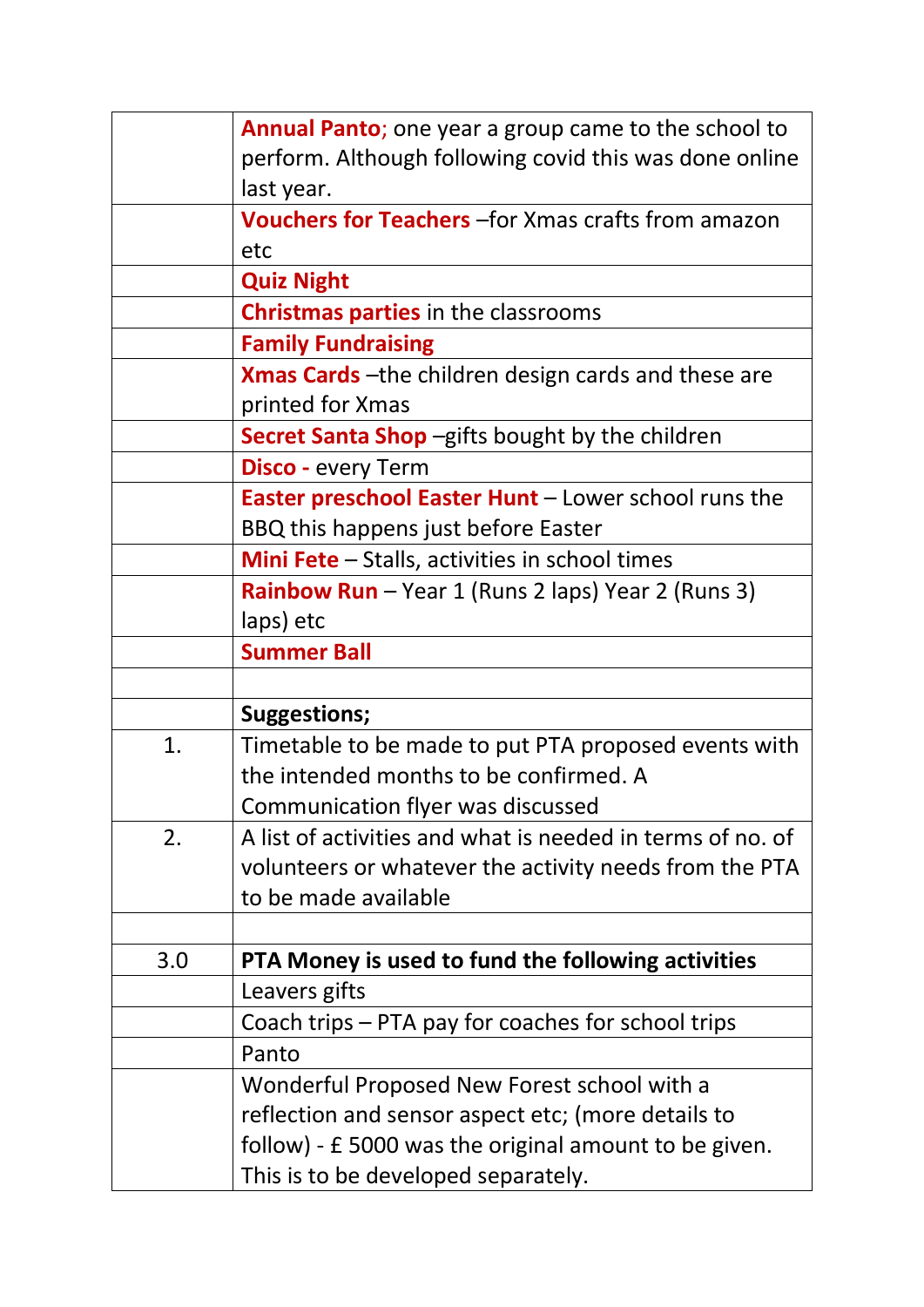|     | <b>Annual Panto</b> ; one year a group came to the school to |
|-----|--------------------------------------------------------------|
|     | perform. Although following covid this was done online       |
|     | last year.                                                   |
|     | <b>Vouchers for Teachers</b> - for Xmas crafts from amazon   |
|     | etc                                                          |
|     | <b>Quiz Night</b>                                            |
|     | <b>Christmas parties</b> in the classrooms                   |
|     | <b>Family Fundraising</b>                                    |
|     | <b>Xmas Cards</b> - the children design cards and these are  |
|     | printed for Xmas                                             |
|     | <b>Secret Santa Shop</b> -gifts bought by the children       |
|     | <b>Disco</b> - every Term                                    |
|     | <b>Easter preschool Easter Hunt - Lower school runs the</b>  |
|     | BBQ this happens just before Easter                          |
|     | <b>Mini Fete</b> - Stalls, activities in school times        |
|     | <b>Rainbow Run</b> – Year 1 (Runs 2 laps) Year 2 (Runs 3)    |
|     | laps) etc                                                    |
|     | <b>Summer Ball</b>                                           |
|     |                                                              |
|     | <b>Suggestions;</b>                                          |
| 1.  | Timetable to be made to put PTA proposed events with         |
|     | the intended months to be confirmed. A                       |
|     | Communication flyer was discussed                            |
| 2.  | A list of activities and what is needed in terms of no. of   |
|     | volunteers or whatever the activity needs from the PTA       |
|     | to be made available                                         |
|     |                                                              |
| 3.0 | PTA Money is used to fund the following activities           |
|     | Leavers gifts                                                |
|     | Coach trips - PTA pay for coaches for school trips           |
|     | Panto                                                        |
|     | Wonderful Proposed New Forest school with a                  |
|     | reflection and sensor aspect etc; (more details to           |
|     | follow) - £ 5000 was the original amount to be given.        |
|     | This is to be developed separately.                          |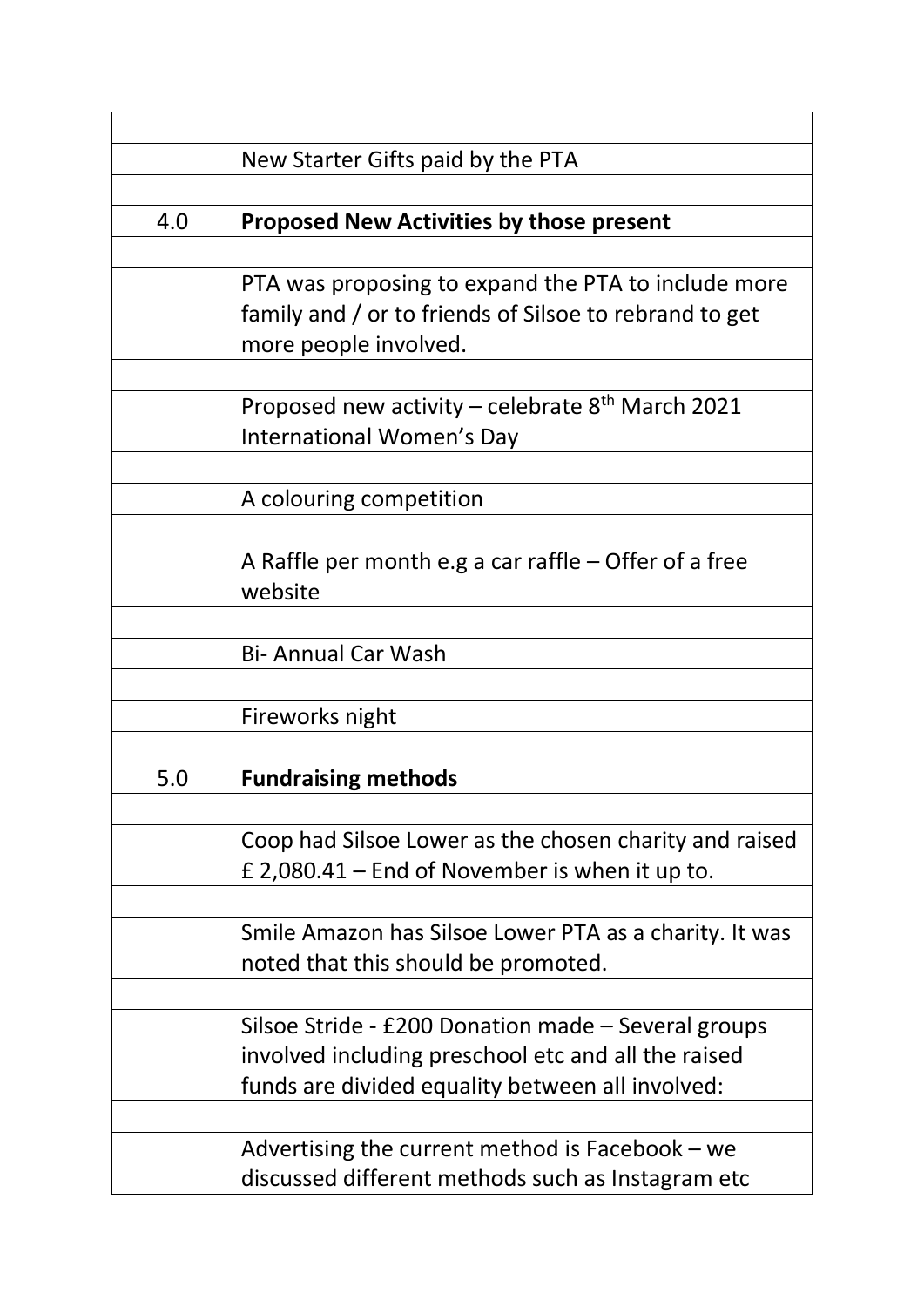|     | New Starter Gifts paid by the PTA                            |
|-----|--------------------------------------------------------------|
|     |                                                              |
| 4.0 | <b>Proposed New Activities by those present</b>              |
|     |                                                              |
|     | PTA was proposing to expand the PTA to include more          |
|     | family and / or to friends of Silsoe to rebrand to get       |
|     | more people involved.                                        |
|     |                                                              |
|     | Proposed new activity – celebrate 8 <sup>th</sup> March 2021 |
|     | International Women's Day                                    |
|     |                                                              |
|     | A colouring competition                                      |
|     |                                                              |
|     | A Raffle per month e.g a car raffle $-$ Offer of a free      |
|     | website                                                      |
|     |                                                              |
|     | <b>Bi- Annual Car Wash</b>                                   |
|     |                                                              |
|     | Fireworks night                                              |
|     |                                                              |
| 5.0 | <b>Fundraising methods</b>                                   |
|     |                                                              |
|     | Coop had Silsoe Lower as the chosen charity and raised       |
|     | £ 2,080.41 – End of November is when it up to.               |
|     |                                                              |
|     | Smile Amazon has Silsoe Lower PTA as a charity. It was       |
|     | noted that this should be promoted.                          |
|     |                                                              |
|     | Silsoe Stride - £200 Donation made - Several groups          |
|     | involved including preschool etc and all the raised          |
|     | funds are divided equality between all involved:             |
|     |                                                              |
|     | Advertising the current method is Facebook $-$ we            |
|     | discussed different methods such as Instagram etc            |